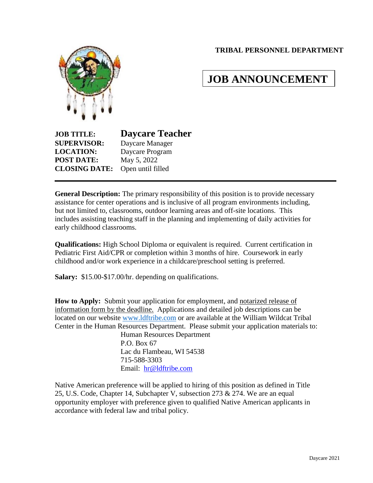## **TRIBAL PERSONNEL DEPARTMENT**



# **JOB ANNOUNCEMENT**

**JOB TITLE: Daycare Teacher SUPERVISOR:** Daycare Manager **LOCATION:** Daycare Program **POST DATE:** May 5, 2022 **CLOSING DATE:** Open until filled

**General Description:** The primary responsibility of this position is to provide necessary assistance for center operations and is inclusive of all program environments including, but not limited to, classrooms, outdoor learning areas and off-site locations. This includes assisting teaching staff in the planning and implementing of daily activities for early childhood classrooms.

**Qualifications:** High School Diploma or equivalent is required. Current certification in Pediatric First Aid/CPR or completion within 3 months of hire. Coursework in early childhood and/or work experience in a childcare/preschool setting is preferred.

**Salary:** \$15.00-\$17.00/hr. depending on qualifications.

**How to Apply:** Submit your application for employment, and notarized release of information form by the deadline. Applications and detailed job descriptions can be located on our website [www.ldftribe.com](http://www.ldftribe.com/) or are available at the William Wildcat Tribal Center in the Human Resources Department. Please submit your application materials to:

> Human Resources Department P.O. Box 67 Lac du Flambeau, WI 54538 715-588-3303 Email: [hr@ldftribe.com](mailto:hr@ldftribe.com)

Native American preference will be applied to hiring of this position as defined in Title 25, U.S. Code, Chapter 14, Subchapter V, subsection 273 & 274. We are an equal opportunity employer with preference given to qualified Native American applicants in accordance with federal law and tribal policy.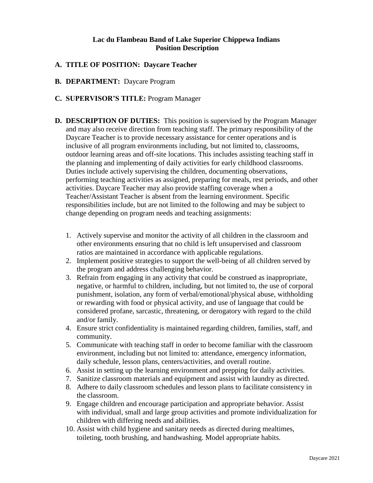### **Lac du Flambeau Band of Lake Superior Chippewa Indians Position Description**

## **A. TITLE OF POSITION: Daycare Teacher**

**B. DEPARTMENT:** Daycare Program

#### **C. SUPERVISOR'S TITLE:** Program Manager

- **D. DESCRIPTION OF DUTIES:** This position is supervised by the Program Manager and may also receive direction from teaching staff. The primary responsibility of the Daycare Teacher is to provide necessary assistance for center operations and is inclusive of all program environments including, but not limited to, classrooms, outdoor learning areas and off-site locations. This includes assisting teaching staff in the planning and implementing of daily activities for early childhood classrooms. Duties include actively supervising the children, documenting observations, performing teaching activities as assigned, preparing for meals, rest periods, and other activities. Daycare Teacher may also provide staffing coverage when a Teacher/Assistant Teacher is absent from the learning environment. Specific responsibilities include, but are not limited to the following and may be subject to change depending on program needs and teaching assignments:
	- 1. Actively supervise and monitor the activity of all children in the classroom and other environments ensuring that no child is left unsupervised and classroom ratios are maintained in accordance with applicable regulations.
	- 2. Implement positive strategies to support the well-being of all children served by the program and address challenging behavior.
	- 3. Refrain from engaging in any activity that could be construed as inappropriate, negative, or harmful to children, including, but not limited to, the use of corporal punishment, isolation, any form of verbal/emotional/physical abuse, withholding or rewarding with food or physical activity, and use of language that could be considered profane, sarcastic, threatening, or derogatory with regard to the child and/or family.
	- 4. Ensure strict confidentiality is maintained regarding children, families, staff, and community.
	- 5. Communicate with teaching staff in order to become familiar with the classroom environment, including but not limited to: attendance, emergency information, daily schedule, lesson plans, centers/activities, and overall routine.
	- 6. Assist in setting up the learning environment and prepping for daily activities.
	- 7. Sanitize classroom materials and equipment and assist with laundry as directed.
	- 8. Adhere to daily classroom schedules and lesson plans to facilitate consistency in the classroom.
	- 9. Engage children and encourage participation and appropriate behavior. Assist with individual, small and large group activities and promote individualization for children with differing needs and abilities.
	- 10. Assist with child hygiene and sanitary needs as directed during mealtimes, toileting, tooth brushing, and handwashing. Model appropriate habits.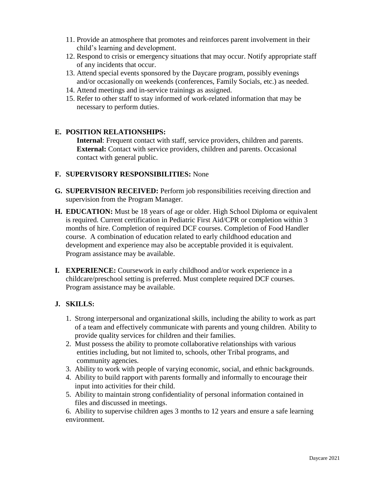- 11. Provide an atmosphere that promotes and reinforces parent involvement in their child's learning and development.
- 12. Respond to crisis or emergency situations that may occur. Notify appropriate staff of any incidents that occur.
- 13. Attend special events sponsored by the Daycare program, possibly evenings and/or occasionally on weekends (conferences, Family Socials, etc.) as needed.
- 14. Attend meetings and in-service trainings as assigned.
- 15. Refer to other staff to stay informed of work-related information that may be necessary to perform duties.

## **E. POSITION RELATIONSHIPS:**

**Internal**: Frequent contact with staff, service providers, children and parents. **External:** Contact with service providers, children and parents. Occasional contact with general public.

### **F. SUPERVISORY RESPONSIBILITIES:** None

- **G. SUPERVISION RECEIVED:** Perform job responsibilities receiving direction and supervision from the Program Manager.
- **H. EDUCATION:** Must be 18 years of age or older. High School Diploma or equivalent is required. Current certification in Pediatric First Aid/CPR or completion within 3 months of hire. Completion of required DCF courses. Completion of Food Handler course. A combination of education related to early childhood education and development and experience may also be acceptable provided it is equivalent. Program assistance may be available.
- **I. EXPERIENCE:** Coursework in early childhood and/or work experience in a childcare/preschool setting is preferred. Must complete required DCF courses. Program assistance may be available.

## **J. SKILLS:**

- 1. Strong interpersonal and organizational skills, including the ability to work as part of a team and effectively communicate with parents and young children. Ability to provide quality services for children and their families.
- 2. Must possess the ability to promote collaborative relationships with various entities including, but not limited to, schools, other Tribal programs, and community agencies.
- 3. Ability to work with people of varying economic, social, and ethnic backgrounds.
- 4. Ability to build rapport with parents formally and informally to encourage their input into activities for their child.
- 5. Ability to maintain strong confidentiality of personal information contained in files and discussed in meetings.

6. Ability to supervise children ages 3 months to 12 years and ensure a safe learning environment.